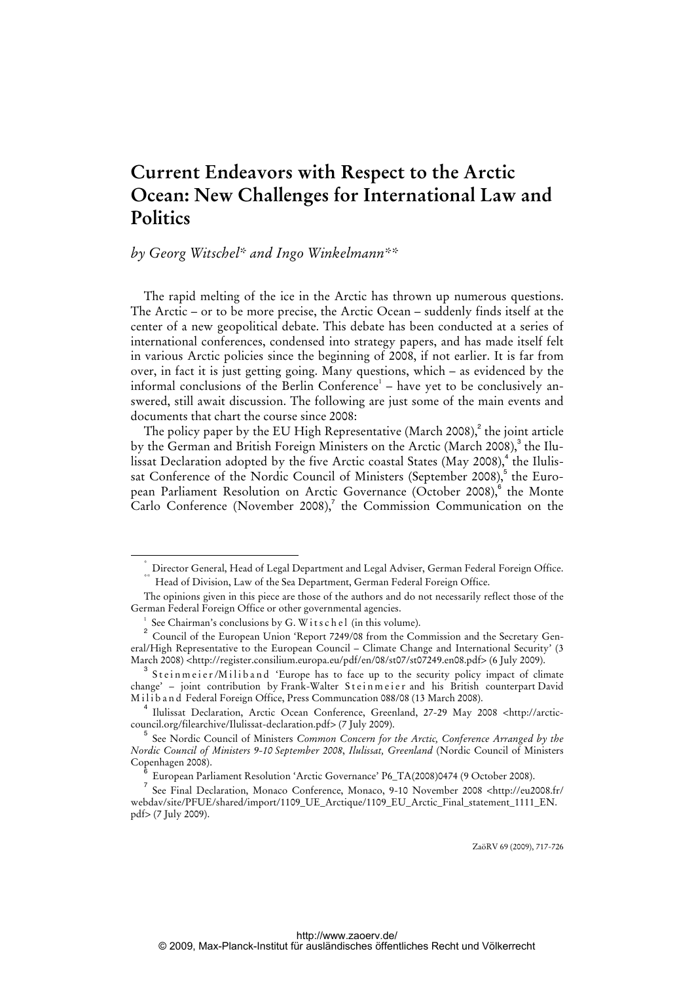# **Current Endeavors with Respect to the Arctic Ocean: New Challenges for International Law and Politics**

#### *by Georg Witschel\* and Ingo Winkelmann\*\**

The rapid melting of the ice in the Arctic has thrown up numerous questions. The Arctic – or to be more precise, the Arctic Ocean – suddenly finds itself at the center of a new geopolitical debate. This debate has been conducted at a series of international conferences, condensed into strategy papers, and has made itself felt in various Arctic policies since the beginning of 2008, if not earlier. It is far from over, in fact it is just getting going. Many questions, which – as evidenced by the informal conclusions of the Berlin Conference $^1$  – have yet to be conclusively answered, still await discussion. The following are just some of the main events and documents that chart the course since 2008:

The policy paper by the EU High Representative (March 2008), $^2$  the joint article by the German and British Foreign Ministers on the Arctic (March 2008),<sup>3</sup> the Ilulissat Declaration adopted by the five Arctic coastal States (May 2008), $^4$  the Ilulissat Conference of the Nordic Council of Ministers (September 2008),<sup>5</sup> the European Parliament Resolution on Arctic Governance (October 2008),<sup>6</sup> the Monte Carlo Conference (November 2008), $^7$  the Commission Communication on the

ZaöRV 69 (2009), 717-726

 <sup>\*</sup> Director General, Head of Legal Department and Legal Adviser, German Federal Foreign Office.

Head of Division, Law of the Sea Department, German Federal Foreign Office.

The opinions given in this piece are those of the authors and do not necessarily reflect those of the German Federal Foreign Office or other governmental agencies. 1

 $\frac{1}{1}$  See Chairman's conclusions by G. W it s c h e l (in this volume).

<sup>&</sup>lt;sup>2</sup> Council of the European Union 'Report 7249/08 from the Commission and the Secretary General/High Representative to the European Council – Climate Change and International Security' (3 March 2008) <[http://register.consilium.europa.eu/pdf/en/08/st07/st07249.en08.pdf>](http://register.consilium.europa.eu/pdf/en/08/st07/st07249.en08.pdf) (6 July 2009).

<sup>&</sup>lt;sup>3</sup> Steinmeier/Miliband 'Europe has to face up to the security policy impact of climate change' – joint contribution by Frank-Walter S t e i n m e i e r and his British counterpart David Miliband Federal Foreign Office, Press Communcation 088/08 (13 March 2008).

<sup>4</sup>  [Ilulissat Declaration, Arctic Ocean Conference, Greenland, 27-29 May 2008 <http://arctic](http://arctic-council)council.org/filearchive/Ilulissat-declaration.pdf> (7 July 2009).

<sup>5</sup> See Nordic Council of Ministers *Common Concern for the Arctic, Conference Arranged by the Nordic Council of Ministers 9-10 September 2008*, *Ilulissat, Greenland* (Nordic Council of Ministers Copenhagen 2008).

<sup>6</sup> European Parliament Resolution 'Arctic Governance' P6\_TA(2008)0474 (9 October 2008).

<sup>7</sup> See Final Declaration, Monaco Conference, Monaco, 9-10 November 2008 [<http://eu2008.fr/](http://eu2008.fr/) webdav/site/PFUE/shared/import/1109\_UE\_Arctique/1109\_EU\_Arctic\_Final\_statement\_1111\_EN. pdf> (7 July 2009).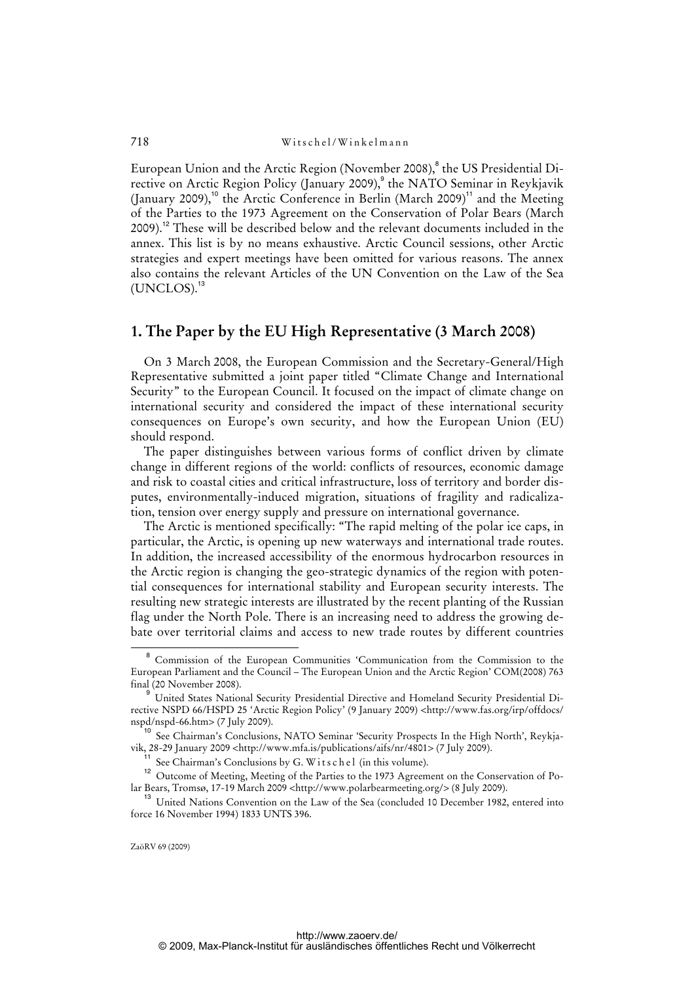European Union and the Arctic Region (November 2008),<sup>8</sup> the US Presidential Directive on Arctic Region Policy (January 2009),<sup>9</sup> the NATO Seminar in Reykjavik (January 2009),<sup>10</sup> the Arctic Conference in Berlin (March 2009)<sup>11</sup> and the Meeting of the Parties to the 1973 Agreement on the Conservation of Polar Bears (March 2009).<sup>12</sup> These will be described below and the relevant documents included in the annex. This list is by no means exhaustive. Arctic Council sessions, other Arctic strategies and expert meetings have been omitted for various reasons. The annex also contains the relevant Articles of the UN Convention on the Law of the Sea (UNCLOS).<sup>13</sup>

### **1. The Paper by the EU High Representative (3 March 2008)**

On 3 March 2008, the European Commission and the Secretary-General/High Representative submitted a joint paper titled "Climate Change and International Security" to the European Council. It focused on the impact of climate change on international security and considered the impact of these international security consequences on Europe's own security, and how the European Union (EU) should respond.

The paper distinguishes between various forms of conflict driven by climate change in different regions of the world: conflicts of resources, economic damage and risk to coastal cities and critical infrastructure, loss of territory and border disputes, environmentally-induced migration, situations of fragility and radicalization, tension over energy supply and pressure on international governance.

The Arctic is mentioned specifically: "The rapid melting of the polar ice caps, in particular, the Arctic, is opening up new waterways and international trade routes. In addition, the increased accessibility of the enormous hydrocarbon resources in the Arctic region is changing the geo-strategic dynamics of the region with potential consequences for international stability and European security interests. The resulting new strategic interests are illustrated by the recent planting of the Russian flag under the North Pole. There is an increasing need to address the growing debate over territorial claims and access to new trade routes by different countries

<sup>8</sup> Commission of the European Communities 'Communication from the Commission to the European Parliament and the Council – The European Union and the Arctic Region' COM(2008) 763 final (20 November 2008).

<sup>&</sup>lt;sup>9</sup> United States National Security Presidential Directive and Homeland Security Presidential Directive NSPD 66/HSPD 25 'Arctic Region Policy' (9 January 2009) <<http://www.fas.org/irp/offdocs/> nspd/nspd-66.htm> (7 July 2009).

<sup>&</sup>lt;sup>10</sup> See Chairman's Conclusions, NATO Seminar 'Security Prospects In the High North', Reykjavik, 28-29 January 2009 <[http://www.mfa.is/publications/aifs/nr/4801>](http://www.mfa.is/publications/aifs/nr/4801) (7 July 2009).

See Chairman's Conclusions by G. Wits chel (in this volume).

<sup>&</sup>lt;sup>12</sup> Outcome of Meeting, Meeting of the Parties to the 1973 Agreement on the Conservation of Polar Bears, Tromsø, 17-19 March 2009 [<http://www.polarbearmeeting.org/>](http://www.polarbearmeeting.org/) (8 July 2009).

<sup>&</sup>lt;sup>13</sup> United Nations Convention on the Law of the Sea (concluded 10 December 1982, entered into force 16 November 1994) 1833 UNTS 396.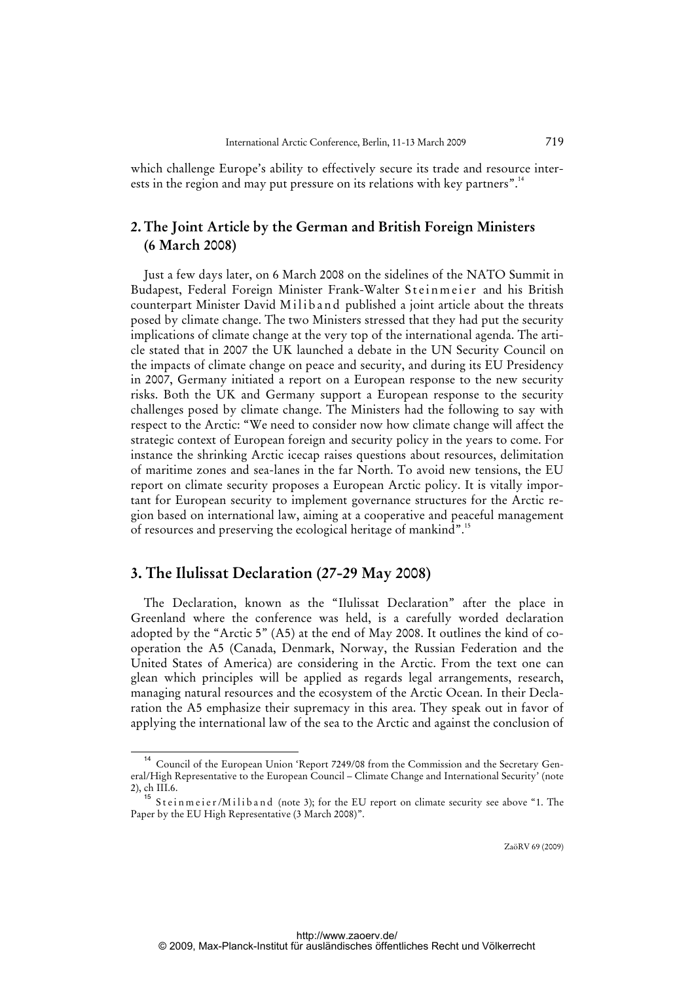which challenge Europe's ability to effectively secure its trade and resource interests in the region and may put pressure on its relations with key partners".<sup>14</sup>

## **2. The Joint Article by the German and British Foreign Ministers (6 March 2008)**

Just a few days later, on 6 March 2008 on the sidelines of the NATO Summit in Budapest, Federal Foreign Minister Frank-Walter Steinmeier and his British counterpart Minister David Miliband published a joint article about the threats posed by climate change. The two Ministers stressed that they had put the security implications of climate change at the very top of the international agenda. The article stated that in 2007 the UK launched a debate in the UN Security Council on the impacts of climate change on peace and security, and during its EU Presidency in 2007, Germany initiated a report on a European response to the new security risks. Both the UK and Germany support a European response to the security challenges posed by climate change. The Ministers had the following to say with respect to the Arctic: "We need to consider now how climate change will affect the strategic context of European foreign and security policy in the years to come. For instance the shrinking Arctic icecap raises questions about resources, delimitation of maritime zones and sea-lanes in the far North. To avoid new tensions, the EU report on climate security proposes a European Arctic policy. It is vitally important for European security to implement governance structures for the Arctic region based on international law, aiming at a cooperative and peaceful management of resources and preserving the ecological heritage of mankind".<sup>15</sup>

#### **3. The Ilulissat Declaration (27-29 May 2008)**

The Declaration, known as the "Ilulissat Declaration" after the place in Greenland where the conference was held, is a carefully worded declaration adopted by the "Arctic 5" (A5) at the end of May 2008. It outlines the kind of cooperation the A5 (Canada, Denmark, Norway, the Russian Federation and the United States of America) are considering in the Arctic. From the text one can glean which principles will be applied as regards legal arrangements, research, managing natural resources and the ecosystem of the Arctic Ocean. In their Declaration the A5 emphasize their supremacy in this area. They speak out in favor of applying the international law of the sea to the Arctic and against the conclusion of

<sup>&</sup>lt;sup>14</sup> Council of the European Union 'Report 7249/08 from the Commission and the Secretary General/High Representative to the European Council – Climate Change and International Security' (note 2), ch III.6.

<sup>&</sup>lt;sup>15</sup> Steinmeier/Miliband (note 3); for the EU report on climate security see above "1. The Paper by the EU High Representative (3 March 2008)".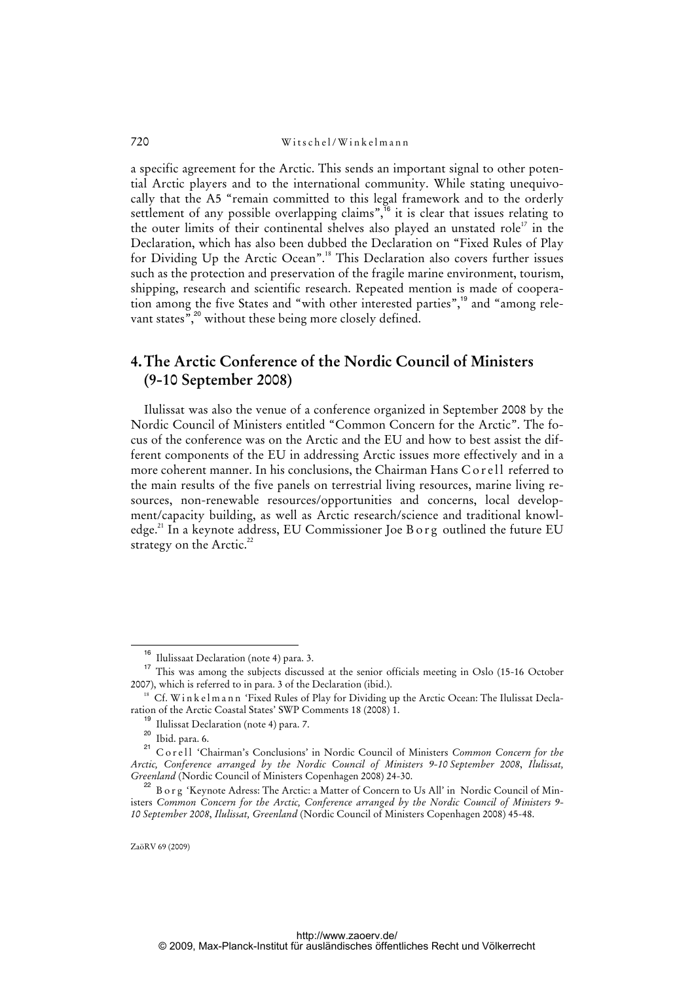a specific agreement for the Arctic. This sends an important signal to other potential Arctic players and to the international community. While stating unequivocally that the A5 "remain committed to this legal framework and to the orderly settlement of any possible overlapping claims",<sup>16</sup> it is clear that issues relating to the outer limits of their continental shelves also played an unstated role<sup>17</sup> in the Declaration, which has also been dubbed the Declaration on "Fixed Rules of Play for Dividing Up the Arctic Ocean".<sup>18</sup> This Declaration also covers further issues such as the protection and preservation of the fragile marine environment, tourism, shipping, research and scientific research. Repeated mention is made of cooperation among the five States and "with other interested parties",<sup>19</sup> and "among relevant states",<sup>20</sup> without these being more closely defined.

## **4. The Arctic Conference of the Nordic Council of Ministers (9-10 September 2008)**

Ilulissat was also the venue of a conference organized in September 2008 by the Nordic Council of Ministers entitled "Common Concern for the Arctic". The focus of the conference was on the Arctic and the EU and how to best assist the different components of the EU in addressing Arctic issues more effectively and in a more coherent manner. In his conclusions, the Chairman Hans C o r ell referred to the main results of the five panels on terrestrial living resources, marine living resources, non-renewable resources/opportunities and concerns, local development/capacity building, as well as Arctic research/science and traditional knowledge.<sup>21</sup> In a keynote address, EU Commissioner Joe B o r g outlined the future EU strategy on the Arctic.<sup>22</sup>

Ilulissaat Declaration (note 4) para. 3.

<sup>&</sup>lt;sup>17</sup> This was among the subjects discussed at the senior officials meeting in Oslo (15-16 October 2007), which is referred to in para. 3 of the Declaration (ibid.).

<sup>&</sup>lt;sup>18</sup> Cf. Winkelmann 'Fixed Rules of Play for Dividing up the Arctic Ocean: The Ilulissat Declaration of the Arctic Coastal States' SWP Comments 18 (2008) 1.

 $\frac{9}{9}$  Ilulissat Declaration (note 4) para. 7.

<sup>&</sup>lt;sup>20</sup> Ibid. para. 6.

<sup>21</sup> C o r e l l 'Chairman's Conclusions' in Nordic Council of Ministers *Common Concern for the Arctic, Conference arranged by the Nordic Council of Ministers 9-10 September 2008*, *Ilulissat, Greenland* (Nordic Council of Ministers Copenhagen 2008) 24-30.

<sup>&</sup>lt;sup>22</sup> B o r g 'Keynote Adress: The Arctic: a Matter of Concern to Us All' in Nordic Council of Ministers *Common Concern for the Arctic, Conference arranged by the Nordic Council of Ministers 9- 10 September 2008*, *Ilulissat, Greenland* (Nordic Council of Ministers Copenhagen 2008) 45-48.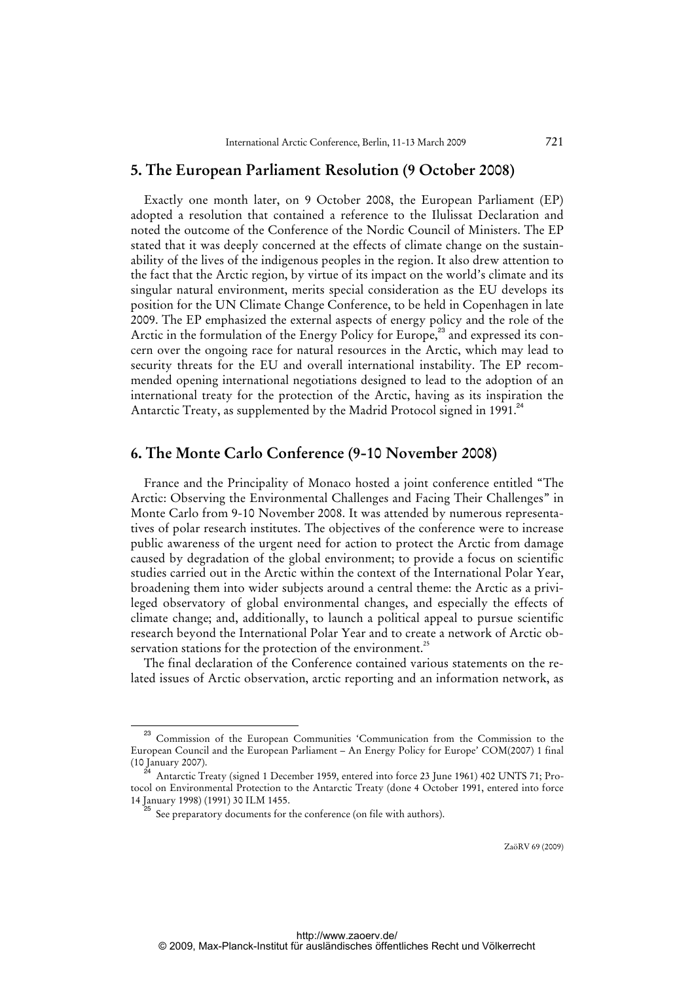#### **5. The European Parliament Resolution (9 October 2008)**

Exactly one month later, on 9 October 2008, the European Parliament (EP) adopted a resolution that contained a reference to the Ilulissat Declaration and noted the outcome of the Conference of the Nordic Council of Ministers. The EP stated that it was deeply concerned at the effects of climate change on the sustainability of the lives of the indigenous peoples in the region. It also drew attention to the fact that the Arctic region, by virtue of its impact on the world's climate and its singular natural environment, merits special consideration as the EU develops its position for the UN Climate Change Conference, to be held in Copenhagen in late 2009. The EP emphasized the external aspects of energy policy and the role of the Arctic in the formulation of the Energy Policy for Europe,<sup>23</sup> and expressed its concern over the ongoing race for natural resources in the Arctic, which may lead to security threats for the EU and overall international instability. The EP recommended opening international negotiations designed to lead to the adoption of an international treaty for the protection of the Arctic, having as its inspiration the Antarctic Treaty, as supplemented by the Madrid Protocol signed in 1991.<sup>24</sup>

#### **6. The Monte Carlo Conference (9-10 November 2008)**

France and the Principality of Monaco hosted a joint conference entitled "The Arctic: Observing the Environmental Challenges and Facing Their Challenges" in Monte Carlo from 9-10 November 2008. It was attended by numerous representatives of polar research institutes. The objectives of the conference were to increase public awareness of the urgent need for action to protect the Arctic from damage caused by degradation of the global environment; to provide a focus on scientific studies carried out in the Arctic within the context of the International Polar Year, broadening them into wider subjects around a central theme: the Arctic as a privileged observatory of global environmental changes, and especially the effects of climate change; and, additionally, to launch a political appeal to pursue scientific research beyond the International Polar Year and to create a network of Arctic observation stations for the protection of the environment.<sup>25</sup>

The final declaration of the Conference contained various statements on the related issues of Arctic observation, arctic reporting and an information network, as

Commission of the European Communities 'Communication from the Commission to the European Council and the European Parliament – An Energy Policy for Europe' COM(2007) 1 final (10 January 2007).

<sup>24</sup> Antarctic Treaty (signed 1 December 1959, entered into force 23 June 1961) 402 UNTS 71; Protocol on Environmental Protection to the Antarctic Treaty (done 4 October 1991, entered into force 14 January 1998) (1991) 30 ILM 1455.

 $5$  See preparatory documents for the conference (on file with authors).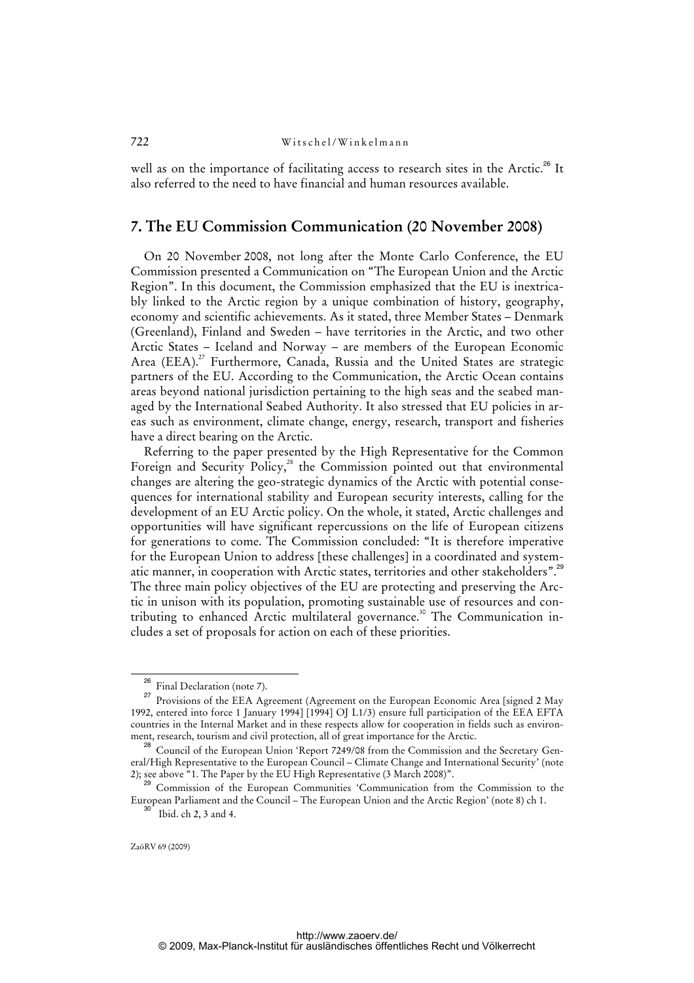well as on the importance of facilitating access to research sites in the Arctic.<sup>26</sup> It also referred to the need to have financial and human resources available.

#### **7. The EU Commission Communication (20 November 2008)**

On 20 November 2008, not long after the Monte Carlo Conference, the EU Commission presented a Communication on "The European Union and the Arctic Region". In this document, the Commission emphasized that the EU is inextricably linked to the Arctic region by a unique combination of history, geography, economy and scientific achievements. As it stated, three Member States – Denmark (Greenland), Finland and Sweden – have territories in the Arctic, and two other Arctic States – Iceland and Norway – are members of the European Economic Area (EEA).<sup>27</sup> Furthermore, Canada, Russia and the United States are strategic partners of the EU. According to the Communication, the Arctic Ocean contains areas beyond national jurisdiction pertaining to the high seas and the seabed managed by the International Seabed Authority. It also stressed that EU policies in areas such as environment, climate change, energy, research, transport and fisheries have a direct bearing on the Arctic.

Referring to the paper presented by the High Representative for the Common Foreign and Security Policy,<sup>28</sup> the Commission pointed out that environmental changes are altering the geo-strategic dynamics of the Arctic with potential consequences for international stability and European security interests, calling for the development of an EU Arctic policy. On the whole, it stated, Arctic challenges and opportunities will have significant repercussions on the life of European citizens for generations to come. The Commission concluded: "It is therefore imperative for the European Union to address [these challenges] in a coordinated and systematic manner, in cooperation with Arctic states, territories and other stakeholders".<sup>29</sup> The three main policy objectives of the EU are protecting and preserving the Arctic in unison with its population, promoting sustainable use of resources and contributing to enhanced Arctic multilateral governance.30 The Communication includes a set of proposals for action on each of these priorities.

<sup>&</sup>lt;sup>26</sup> Final Declaration (note 7).

<sup>27</sup> Provisions of the EEA Agreement (Agreement on the European Economic Area [signed 2 May 1992, entered into force 1 January 1994] [1994] OJ L1/3) ensure full participation of the EEA EFTA countries in the Internal Market and in these respects allow for cooperation in fields such as environment, research, tourism and civil protection, all of great importance for the Arctic.

<sup>&</sup>lt;sup>28</sup> Council of the European Union 'Report 7249/08 from the Commission and the Secretary General/High Representative to the European Council – Climate Change and International Security' (note 2); see above "1. The Paper by the EU High Representative (3 March 2008)".

<sup>&</sup>lt;sup>3</sup> Commission of the European Communities 'Communication from the Commission to the European Parliament and the Council – The European Union and the Arctic Region' (note 8) ch 1.

Ibid. ch 2, 3 and 4.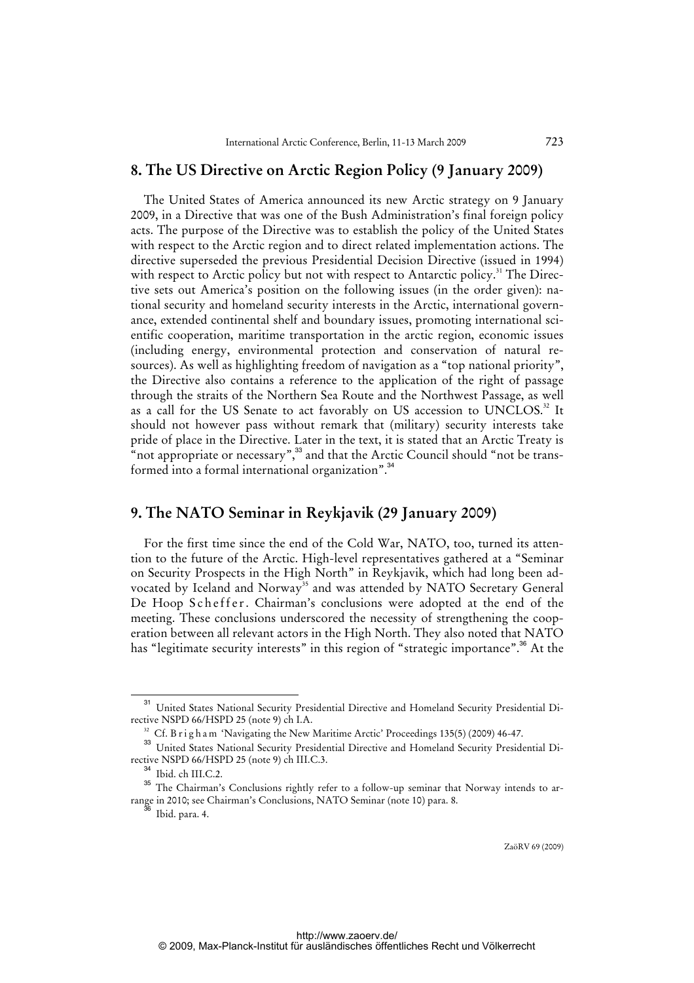#### **8. The US Directive on Arctic Region Policy (9 January 2009)**

The United States of America announced its new Arctic strategy on 9 January 2009, in a Directive that was one of the Bush Administration's final foreign policy acts. The purpose of the Directive was to establish the policy of the United States with respect to the Arctic region and to direct related implementation actions. The directive superseded the previous Presidential Decision Directive (issued in 1994) with respect to Arctic policy but not with respect to Antarctic policy.<sup>31</sup> The Directive sets out America's position on the following issues (in the order given): national security and homeland security interests in the Arctic, international governance, extended continental shelf and boundary issues, promoting international scientific cooperation, maritime transportation in the arctic region, economic issues (including energy, environmental protection and conservation of natural resources). As well as highlighting freedom of navigation as a "top national priority", the Directive also contains a reference to the application of the right of passage through the straits of the Northern Sea Route and the Northwest Passage, as well as a call for the US Senate to act favorably on US accession to UNCLOS.<sup>32</sup> It should not however pass without remark that (military) security interests take pride of place in the Directive. Later in the text, it is stated that an Arctic Treaty is "not appropriate or necessary",<sup>33</sup> and that the Arctic Council should "not be transformed into a formal international organization".<sup>34</sup>

## **9. The NATO Seminar in Reykjavik (29 January 2009)**

For the first time since the end of the Cold War, NATO, too, turned its attention to the future of the Arctic. High-level representatives gathered at a "Seminar on Security Prospects in the High North" in Reykjavik, which had long been advocated by Iceland and Norway<sup>35</sup> and was attended by NATO Secretary General De Hoop Scheffer. Chairman's conclusions were adopted at the end of the meeting. These conclusions underscored the necessity of strengthening the cooperation between all relevant actors in the High North. They also noted that NATO has "legitimate security interests" in this region of "strategic importance".<sup>36</sup> At the

<sup>&</sup>lt;sup>31</sup> United States National Security Presidential Directive and Homeland Security Presidential Directive NSPD 66/HSPD 25 (note 9) ch I.A.

<sup>&</sup>lt;sup>32</sup> Cf. B r i g h a m 'Navigating the New Maritime Arctic' Proceedings 135(5) (2009) 46-47.

<sup>33</sup> United States National Security Presidential Directive and Homeland Security Presidential Directive NSPD 66/HSPD 25 (note 9) ch III.C.3.

<sup>34</sup> Ibid. ch III.C.2.

<sup>&</sup>lt;sup>35</sup> The Chairman's Conclusions rightly refer to a follow-up seminar that Norway intends to arrange in 2010; see Chairman's Conclusions, NATO Seminar (note 10) para. 8.

Ibid. para. 4.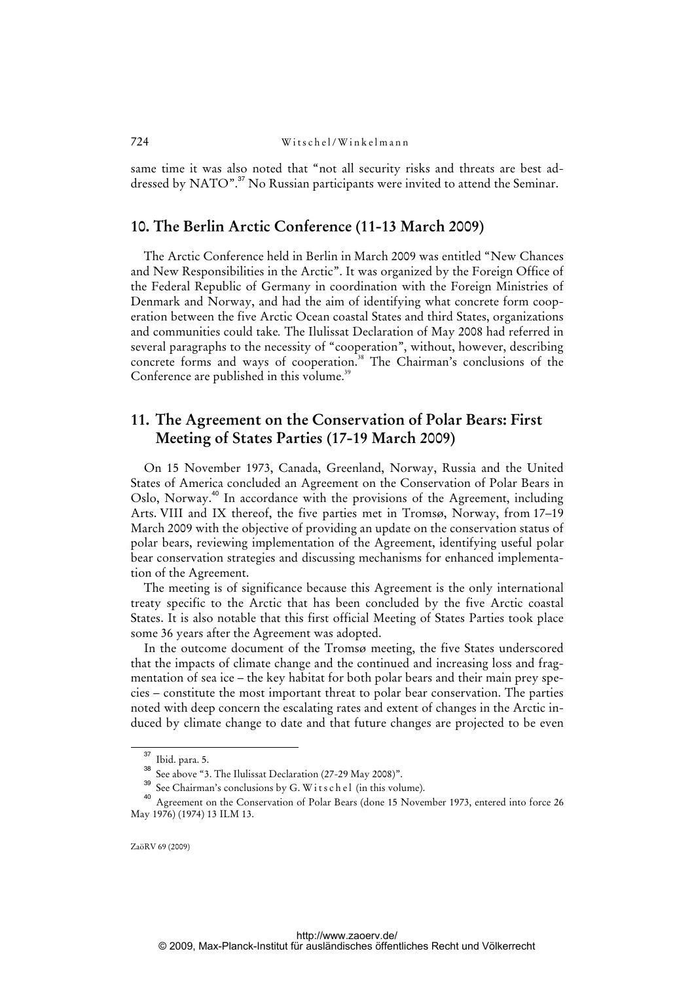same time it was also noted that "not all security risks and threats are best addressed by NATO".<sup>37</sup> No Russian participants were invited to attend the Seminar.

#### **10. The Berlin Arctic Conference (11-13 March 2009)**

The Arctic Conference held in Berlin in March 2009 was entitled "New Chances and New Responsibilities in the Arctic". It was organized by the Foreign Office of the Federal Republic of Germany in coordination with the Foreign Ministries of Denmark and Norway, and had the aim of identifying what concrete form cooperation between the five Arctic Ocean coastal States and third States, organizations and communities could take*.* The Ilulissat Declaration of May 2008 had referred in several paragraphs to the necessity of "cooperation", without, however, describing concrete forms and ways of cooperation.<sup>38</sup> The Chairman's conclusions of the Conference are published in this volume.<sup>39</sup>

## **11. The Agreement on the Conservation of Polar Bears: First Meeting of States Parties (17-19 March 2009)**

On 15 November 1973, Canada, Greenland, Norway, Russia and the United States of America concluded an Agreement on the Conservation of Polar Bears in Oslo, Norway.<sup>40</sup> In accordance with the provisions of the Agreement, including Arts. VIII and IX thereof, the five parties met in Tromsø, Norway, from 17–19 March 2009 with the objective of providing an update on the conservation status of polar bears, reviewing implementation of the Agreement, identifying useful polar bear conservation strategies and discussing mechanisms for enhanced implementation of the Agreement.

The meeting is of significance because this Agreement is the only international treaty specific to the Arctic that has been concluded by the five Arctic coastal States. It is also notable that this first official Meeting of States Parties took place some 36 years after the Agreement was adopted.

In the outcome document of the Tromsø meeting, the five States underscored that the impacts of climate change and the continued and increasing loss and fragmentation of sea ice – the key habitat for both polar bears and their main prey species – constitute the most important threat to polar bear conservation. The parties noted with deep concern the escalating rates and extent of changes in the Arctic induced by climate change to date and that future changes are projected to be even

<sup>37</sup> Ibid. para. 5.

<sup>&</sup>lt;sup>38</sup> See above "3. The Ilulissat Declaration (27-29 May 2008)".

<sup>&</sup>lt;sup>39</sup> See Chairman's conclusions by G. W its c h e l (in this volume).

<sup>40</sup> Agreement on the Conservation of Polar Bears (done 15 November 1973, entered into force 26 May 1976) (1974) 13 ILM 13.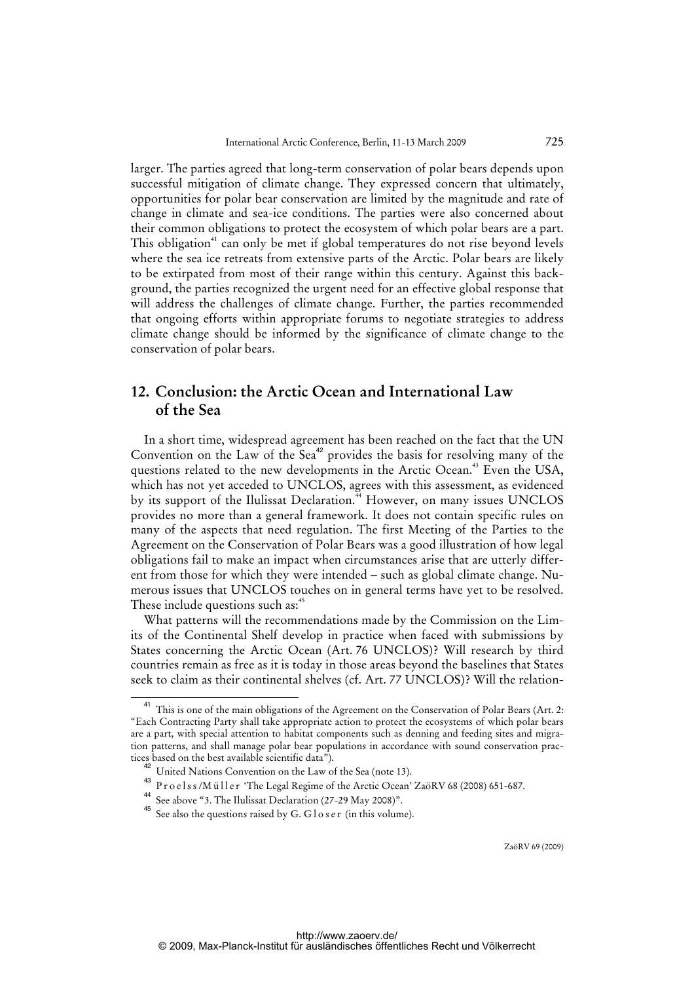larger. The parties agreed that long-term conservation of polar bears depends upon successful mitigation of climate change. They expressed concern that ultimately, opportunities for polar bear conservation are limited by the magnitude and rate of change in climate and sea-ice conditions. The parties were also concerned about their common obligations to protect the ecosystem of which polar bears are a part. This obligation<sup>41</sup> can only be met if global temperatures do not rise beyond levels where the sea ice retreats from extensive parts of the Arctic. Polar bears are likely to be extirpated from most of their range within this century. Against this background, the parties recognized the urgent need for an effective global response that will address the challenges of climate change. Further, the parties recommended that ongoing efforts within appropriate forums to negotiate strategies to address climate change should be informed by the significance of climate change to the conservation of polar bears.

## **12. Conclusion: the Arctic Ocean and International Law of the Sea**

In a short time, widespread agreement has been reached on the fact that the UN Convention on the Law of the Sea<sup>42</sup> provides the basis for resolving many of the questions related to the new developments in the Arctic Ocean.<sup>43</sup> Even the USA, which has not yet acceded to UNCLOS, agrees with this assessment, as evidenced by its support of the Ilulissat Declaration.<sup>44</sup> However, on many issues UNCLOS provides no more than a general framework. It does not contain specific rules on many of the aspects that need regulation. The first Meeting of the Parties to the Agreement on the Conservation of Polar Bears was a good illustration of how legal obligations fail to make an impact when circumstances arise that are utterly different from those for which they were intended – such as global climate change. Numerous issues that UNCLOS touches on in general terms have yet to be resolved. These include questions such as:<sup>45</sup>

What patterns will the recommendations made by the Commission on the Limits of the Continental Shelf develop in practice when faced with submissions by States concerning the Arctic Ocean (Art. 76 UNCLOS)? Will research by third countries remain as free as it is today in those areas beyond the baselines that States seek to claim as their continental shelves (cf. Art. 77 UNCLOS)? Will the relation-

<sup>&</sup>lt;sup>41</sup> This is one of the main obligations of the Agreement on the Conservation of Polar Bears (Art. 2: "Each Contracting Party shall take appropriate action to protect the ecosystems of which polar bears are a part, with special attention to habitat components such as denning and feeding sites and migration patterns, and shall manage polar bear populations in accordance with sound conservation practices based on the best available scientific data").

<sup>&</sup>lt;sup>42</sup> United Nations Convention on the Law of the Sea (note 13).

<sup>43</sup> Proelss/Müller 'The Legal Regime of the Arctic Ocean' ZaöRV 68 (2008) 651-687.

<sup>44</sup> See above "3. The Ilulissat Declaration (27-29 May 2008)".

<sup>&</sup>lt;sup>45</sup> See also the questions raised by G. G l o s e r (in this volume).